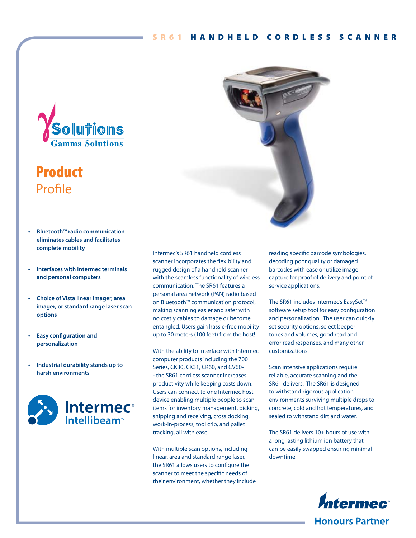

# **Product** Profile

- **Bluetooth™ radio communication eliminates cables and facilitates complete mobility**
- **Interfaces with Intermec terminals and personal computers**
- **Choice of Vista linear imager, area imager, or standard range laser scan options**
- **Easy configuration and personalization**
- **Industrial durability stands up to harsh environments**



Intermec's SR61 handheld cordless scanner incorporates the flexibility and rugged design of a handheld scanner with the seamless functionality of wireless communication. The SR61 features a personal area network (PAN) radio based on Bluetooth™ communication protocol, making scanning easier and safer with no costly cables to damage or become entangled. Users gain hassle-free mobility up to 30 meters (100 feet) from the host!

With the ability to interface with Intermec computer products including the 700 Series, CK30, CK31, CK60, and CV60- - the SR61 cordless scanner increases productivity while keeping costs down. Users can connect to one Intermec host device enabling multiple people to scan items for inventory management, picking, shipping and receiving, cross docking, work-in-process, tool crib, and pallet tracking, all with ease.

With multiple scan options, including linear, area and standard range laser, the SR61 allows users to configure the scanner to meet the specific needs of their environment, whether they include



reading specific barcode symbologies, decoding poor quality or damaged barcodes with ease or utilize image capture for proof of delivery and point of service applications.

The SR61 includes Intermec's EasySet™ software setup tool for easy configuration and personalization. The user can quickly set security options, select beeper tones and volumes, good read and error read responses, and many other customizations.

Scan intensive applications require reliable, accurate scanning and the SR61 delivers. The SR61 is designed to withstand rigorous application environments surviving multiple drops to concrete, cold and hot temperatures, and sealed to withstand dirt and water.

The SR61 delivers 10+ hours of use with a long lasting lithium ion battery that can be easily swapped ensuring minimal downtime.